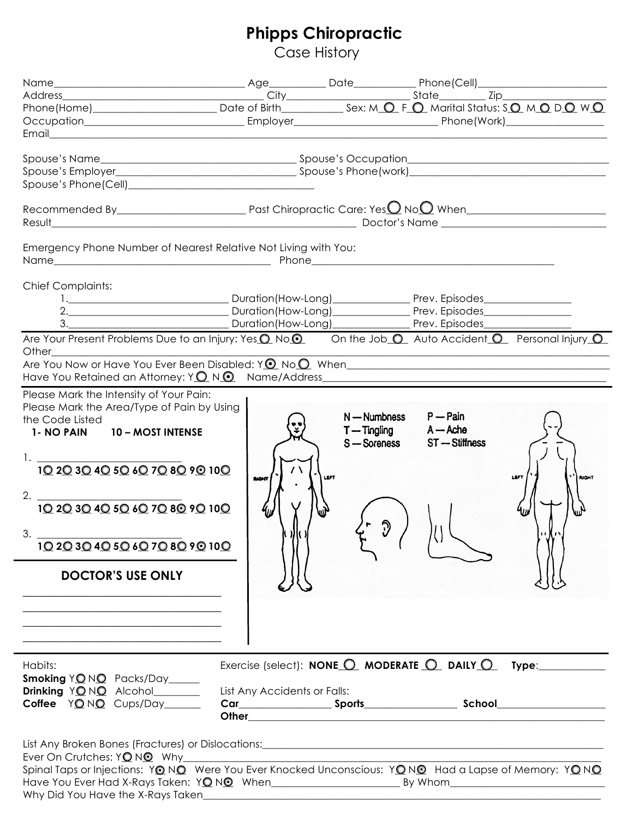## **Phipps Chiropractic**

Case History

|                                                                                                                                                                                                                               |                              |                           | Address<br>Phone(Home) Date of Birth State State Tip Tip Thone(Home) Date of Birth Date of Birth State State Tip Tip Tip                          |
|-------------------------------------------------------------------------------------------------------------------------------------------------------------------------------------------------------------------------------|------------------------------|---------------------------|---------------------------------------------------------------------------------------------------------------------------------------------------|
|                                                                                                                                                                                                                               |                              |                           |                                                                                                                                                   |
|                                                                                                                                                                                                                               |                              |                           |                                                                                                                                                   |
|                                                                                                                                                                                                                               |                              |                           |                                                                                                                                                   |
|                                                                                                                                                                                                                               |                              |                           |                                                                                                                                                   |
|                                                                                                                                                                                                                               |                              |                           |                                                                                                                                                   |
|                                                                                                                                                                                                                               |                              |                           |                                                                                                                                                   |
|                                                                                                                                                                                                                               |                              |                           |                                                                                                                                                   |
|                                                                                                                                                                                                                               |                              |                           | Recommended By $\sqrt{P(x)}$ Past Chiropractic Care: Yes $\frac{1}{2}$ No $\frac{1}{2}$ When $\sqrt{P(x)}$                                        |
|                                                                                                                                                                                                                               |                              |                           |                                                                                                                                                   |
|                                                                                                                                                                                                                               |                              |                           |                                                                                                                                                   |
| Emergency Phone Number of Nearest Relative Not Living with You:                                                                                                                                                               |                              |                           |                                                                                                                                                   |
|                                                                                                                                                                                                                               |                              |                           |                                                                                                                                                   |
|                                                                                                                                                                                                                               |                              |                           |                                                                                                                                                   |
| <b>Chief Complaints:</b>                                                                                                                                                                                                      |                              |                           |                                                                                                                                                   |
|                                                                                                                                                                                                                               |                              |                           |                                                                                                                                                   |
|                                                                                                                                                                                                                               |                              |                           |                                                                                                                                                   |
| 3. Duration (How-Long) Prev. Episodes                                                                                                                                                                                         |                              |                           |                                                                                                                                                   |
| Other                                                                                                                                                                                                                         |                              |                           | Are Your Present Problems Due to an Injury: Yes <sup>O</sup> No <sup>O</sup> On the Job <sup>O</sup> Auto Accident <sup>O</sup> Personal Injury O |
| Are You Now or Have You Ever Been Disabled: $Y$ $\odot$ No $\odot$ When                                                                                                                                                       |                              |                           |                                                                                                                                                   |
|                                                                                                                                                                                                                               |                              |                           |                                                                                                                                                   |
| Please Mark the Intensity of Your Pain:                                                                                                                                                                                       |                              |                           |                                                                                                                                                   |
| Please Mark the Area/Type of Pain by Using                                                                                                                                                                                    |                              |                           |                                                                                                                                                   |
| the Code Listed                                                                                                                                                                                                               |                              | N — Numbness              | $P - Pain$                                                                                                                                        |
| 1- NO PAIN 10 - MOST INTENSE                                                                                                                                                                                                  |                              | $T - Tingling$ $A - Ache$ |                                                                                                                                                   |
|                                                                                                                                                                                                                               |                              | S - Soreness              | ST - Stiffness                                                                                                                                    |
|                                                                                                                                                                                                                               |                              |                           |                                                                                                                                                   |
| 1. $\frac{102030405060708090100}{102030405060708090100}$                                                                                                                                                                      | $\sqrt{ }$                   | <b>LEFT</b>               | <b>LEFT</b><br><b>RIGHT</b>                                                                                                                       |
|                                                                                                                                                                                                                               | <b>BIGHT</b>                 |                           |                                                                                                                                                   |
| 2. $\frac{102030405060708090100}{102030405060708090100}$                                                                                                                                                                      |                              |                           |                                                                                                                                                   |
|                                                                                                                                                                                                                               |                              |                           |                                                                                                                                                   |
|                                                                                                                                                                                                                               |                              |                           |                                                                                                                                                   |
| 3.<br>10 20 30 40 50 60 70 80 90 100                                                                                                                                                                                          |                              |                           |                                                                                                                                                   |
|                                                                                                                                                                                                                               |                              |                           |                                                                                                                                                   |
| <b>DOCTOR'S USE ONLY</b>                                                                                                                                                                                                      |                              |                           |                                                                                                                                                   |
|                                                                                                                                                                                                                               |                              |                           |                                                                                                                                                   |
|                                                                                                                                                                                                                               |                              |                           |                                                                                                                                                   |
| <u> 1980 - Johann John Stone, markin film yn y brenin y brenin y brenin y brenin y brenin y brenin y brenin y br</u>                                                                                                          |                              |                           |                                                                                                                                                   |
|                                                                                                                                                                                                                               |                              |                           |                                                                                                                                                   |
| the control of the control of the control of the control of the control of the control of the control of the control of the control of the control of the control of the control of the control of the control of the control |                              |                           |                                                                                                                                                   |
|                                                                                                                                                                                                                               |                              |                           |                                                                                                                                                   |
| Habits:                                                                                                                                                                                                                       |                              |                           | Exercise (select): NONE $\bigcirc$ MODERATE $\bigcirc$ DAILY $\bigcirc$ Type:                                                                     |
| Smoking YONO Packs/Day                                                                                                                                                                                                        |                              |                           |                                                                                                                                                   |
| Drinking YONO Alcohol                                                                                                                                                                                                         | List Any Accidents or Falls: |                           |                                                                                                                                                   |
| Coffee YONO Cups/Day                                                                                                                                                                                                          |                              |                           |                                                                                                                                                   |
|                                                                                                                                                                                                                               |                              |                           |                                                                                                                                                   |
|                                                                                                                                                                                                                               |                              |                           |                                                                                                                                                   |
|                                                                                                                                                                                                                               |                              |                           |                                                                                                                                                   |
| Ever On Crutches: YONO Why                                                                                                                                                                                                    |                              |                           | Spinal Taps or Injections: YONO Were You Ever Knocked Unconscious: YONO Had a Lapse of Memory: YONO                                               |
|                                                                                                                                                                                                                               |                              |                           |                                                                                                                                                   |
| Why Did You Have the X-Rays Taken                                                                                                                                                                                             |                              |                           |                                                                                                                                                   |